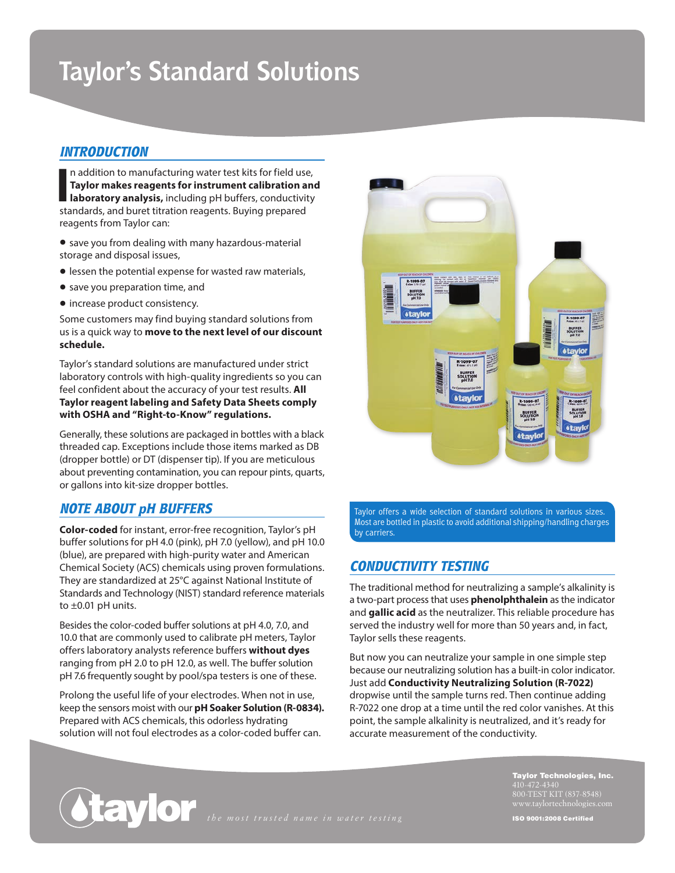# **Taylor's Standard Solutions**

# *INTRODUCTION*

In addition to manufacturing water test kits for field use<br> **Taylor makes reagents for instrument calibration a**<br> **Iaboratory analysis,** including pH buffers, conductivit<br>
standards, and buret titration reagents. Buying pr n addition to manufacturing water test kits for field use, **Taylor makes reagents for instrument calibration and laboratory analysis,** including pH buffers, conductivity reagents from Taylor can:

- save you from dealing with many hazardous-material storage and disposal issues,
- •lessen the potential expense for wasted raw materials,
- save you preparation time, and
- increase product consistency.

Some customers may find buying standard solutions from us is a quick way to **move to the next level of our discount schedule.**

Taylor's standard solutions are manufactured under strict laboratory controls with high-quality ingredients so you can feel confident about the accuracy of your test results. **All Taylor reagent labeling and Safety Data Sheets comply with OSHA and "Right-to-Know" regulations.**

Generally, these solutions are packaged in bottles with a black threaded cap. Exceptions include those items marked as DB (dropper bottle) or DT (dispenser tip). If you are meticulous about preventing contamination, you can repour pints, quarts, or gallons into kit-size dropper bottles.

## *NOTE ABOUT pH BUFFERS*

**Color-coded** for instant, error-free recognition, Taylor's pH buffer solutions for pH 4.0 (pink), pH 7.0 (yellow), and pH 10.0 (blue), are prepared with high-purity water and American Chemical Society (ACS) chemicals using proven formulations. They are standardized at 25°C against National Institute of Standards and Technology (NIST) standard reference materials to  $\pm 0.01$  pH units.

Besides the color-coded buffer solutions at pH 4.0, 7.0, and 10.0 that are commonly used to calibrate pH meters, Taylor offers laboratory analysts reference buffers **without dyes** ranging from pH 2.0 to pH 12.0, as well. The buffer solution pH 7.6 frequently sought by pool/spa testers is one of these.

Prolong the useful life of your electrodes. When not in use, keep the sensors moist with our **pH Soaker Solution (R-0834).** Prepared with ACS chemicals, this odorless hydrating solution will not foul electrodes as a color-coded buffer can.



Taylor offers a wide selection of standard solutions in various sizes. Most are bottled in plastic to avoid additional shipping/handling charges by carriers.

# *CONDUCTIVITY TESTING*

The traditional method for neutralizing a sample's alkalinity is a two-part process that uses **phenolphthalein** as the indicator and **gallic acid** as the neutralizer. This reliable procedure has served the industry well for more than 50 years and, in fact, Taylor sells these reagents.

But now you can neutralize your sample in one simple step because our neutralizing solution has a built-in color indicator. Just add **Conductivity Neutralizing Solution (R-7022)** dropwise until the sample turns red. Then continue adding R-7022 one drop at a time until the red color vanishes. At this point, the sample alkalinity is neutralized, and it's ready for accurate measurement of the conductivity.

*the most trusted name in water testing*

Taylor Technologies, Inc. 800-TEST KIT (837-8548) ISO 9001:2008 Certified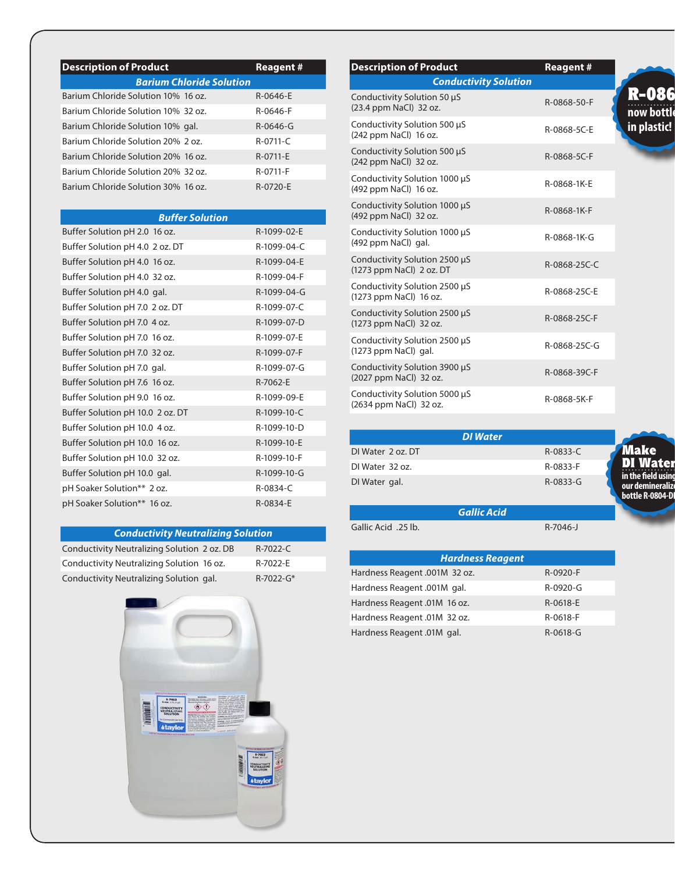| <b>Description of Product</b>       | <b>Reagent #</b> |
|-------------------------------------|------------------|
| <b>Barium Chloride Solution</b>     |                  |
| Barium Chloride Solution 10% 16 oz. | $R - 0646 - F$   |
| Barium Chloride Solution 10% 32 oz. | R-0646-F         |
| Barium Chloride Solution 10% gal.   | R-0646-G         |
| Barium Chloride Solution 20% 2 oz.  | $R - 0711 - C$   |
| Barium Chloride Solution 20% 16 oz. | R-0711-F         |
| Barium Chloride Solution 20% 32 oz. | R-0711-F         |
| Barium Chloride Solution 30% 16 oz. | R-0720-F         |

| <b>Buffer Solution</b>           |             |
|----------------------------------|-------------|
| Buffer Solution pH 2.0 16 oz.    | R-1099-02-E |
| Buffer Solution pH 4.0 2 oz. DT  | R-1099-04-C |
| Buffer Solution pH 4.0 16 oz.    | R-1099-04-E |
| Buffer Solution pH 4.0 32 oz.    | R-1099-04-F |
| Buffer Solution pH 4.0 gal.      | R-1099-04-G |
| Buffer Solution pH 7.0 2 oz. DT  | R-1099-07-C |
| Buffer Solution pH 7.0 4 oz.     | R-1099-07-D |
| Buffer Solution pH 7.0 16 oz.    | R-1099-07-E |
| Buffer Solution pH 7.0 32 oz.    | R-1099-07-F |
| Buffer Solution pH 7.0 gal.      | R-1099-07-G |
| Buffer Solution pH 7.6 16 oz.    | R-7062-E    |
| Buffer Solution pH 9.0 16 oz.    | R-1099-09-E |
| Buffer Solution pH 10.0 2 oz. DT | R-1099-10-C |
| Buffer Solution pH 10.0 4 oz.    | R-1099-10-D |
| Buffer Solution pH 10.0 16 oz.   | R-1099-10-E |
| Buffer Solution pH 10.0 32 oz.   | R-1099-10-F |
| Buffer Solution pH 10.0 gal.     | R-1099-10-G |
| pH Soaker Solution** 2 oz.       | R-0834-C    |
| pH Soaker Solution** 16 oz.      | R-0834-E    |

## *Conductivity Neutralizing Solution*

Conductivity Neutralizing Solution 2 oz. DB R-7022-C Conductivity Neutralizing Solution 16 oz. R-7022-E Conductivity Neutralizing Solution gal. R-7022-G\*



| <b>Description of Product</b>                             | <b>Reagent#</b> |
|-----------------------------------------------------------|-----------------|
| <b>Conductivity Solution</b>                              |                 |
| Conductivity Solution 50 µS<br>(23.4 ppm NaCl) 32 oz.     | R-0868-50-F     |
| Conductivity Solution 500 µS<br>(242 ppm NaCl) 16 oz.     | R-0868-5C-E     |
| Conductivity Solution 500 µS<br>(242 ppm NaCl) 32 oz.     | R-0868-5C-F     |
| Conductivity Solution 1000 µS<br>(492 ppm NaCl) 16 oz.    | R-0868-1K-E     |
| Conductivity Solution 1000 µS<br>(492 ppm NaCl) 32 oz.    | R-0868-1K-F     |
| Conductivity Solution 1000 µS<br>(492 ppm NaCl) gal.      | R-0868-1K-G     |
| Conductivity Solution 2500 µS<br>(1273 ppm NaCl) 2 oz. DT | R-0868-25C-C    |
| Conductivity Solution 2500 µS<br>(1273 ppm NaCl) 16 oz.   | R-0868-25C-E    |
| Conductivity Solution 2500 µS<br>(1273 ppm NaCl) 32 oz.   | R-0868-25C-F    |
| Conductivity Solution 2500 µS<br>$(1273$ ppm NaCl) gal.   | R-0868-25C-G    |
| Conductivity Solution 3900 µS<br>(2027 ppm NaCl) 32 oz.   | R-0868-39C-F    |
| Conductivity Solution 5000 µS<br>(2634 ppm NaCl) 32 oz.   | R-0868-5K-F     |

|                   | <b>DI</b> Water |                                                            |
|-------------------|-----------------|------------------------------------------------------------|
| DI Water 2 oz. DT | R-0833-C        | <b>Make</b>                                                |
| DI Water 32 oz.   | R-0833-F        | <b>DI Water</b>                                            |
| DI Water gal.     | $R - 0833 - G$  | in the field usinc<br>our demineralize<br>bottle R-0804-Di |

Gallic Acid .25 lb. R-7046-J

*Hardness Reagent* Hardness Reagent .001M 32 oz. R-0920-F Hardness Reagent .001M gal. R-0920-G Hardness Reagent .01M 16 oz. R-0618-E Hardness Reagent .01M 32 oz. R-0618-F Hardness Reagent .01M gal. R-0618-G

*Gallic Acid*

**now bottle in plastic!** R-086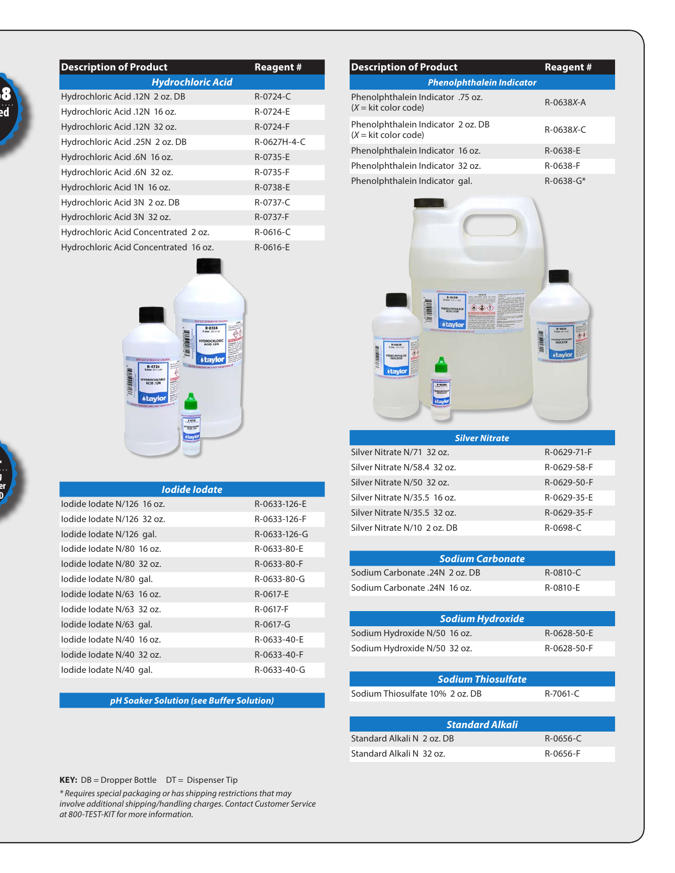|  | bs: |  |
|--|-----|--|
|  |     |  |

| <b>Description of Product</b>         |                          | <b>Reagent #</b> |
|---------------------------------------|--------------------------|------------------|
|                                       | <b>Hydrochloric Acid</b> |                  |
| Hydrochloric Acid .12N 2 oz. DB       |                          | $R - 0724 - C$   |
| Hydrochloric Acid .12N 16 oz.         |                          | R-0724-E         |
| Hydrochloric Acid .12N 32 oz.         |                          | R-0724-F         |
| Hydrochloric Acid .25N 2 oz. DB       |                          | R-0627H-4-C      |
| Hydrochloric Acid .6N 16 oz.          |                          | R-0735-E         |
| Hydrochloric Acid .6N 32 oz.          |                          | R-0735-F         |
| Hydrochloric Acid 1N 16 oz.           |                          | R-0738-E         |
| Hydrochloric Acid 3N 2 oz. DB         |                          | $R - 0737 - C$   |
| Hydrochloric Acid 3N 32 oz.           |                          | R-0737-F         |
| Hydrochloric Acid Concentrated 2 oz.  |                          | $R - 0616 - C$   |
| Hydrochloric Acid Concentrated 16 oz. |                          | R-0616-E         |



| lodide lodate              |              |
|----------------------------|--------------|
| lodide lodate N/126 16 oz. | R-0633-126-E |
| lodide lodate N/126 32 oz. | R-0633-126-F |
| lodide lodate N/126 gal.   | R-0633-126-G |
| lodide lodate N/80 16 oz.  | R-0633-80-E  |
| lodide lodate N/80 32 oz.  | R-0633-80-F  |
| lodide lodate N/80 gal.    | R-0633-80-G  |
| lodide lodate N/63 16 oz.  | R-0617-E     |
| lodide lodate N/63 32 oz.  | R-0617-F     |
| lodide lodate N/63 gal.    | R-0617-G     |
| lodide lodate N/40 16 oz.  | R-0633-40-E  |
| lodide lodate N/40 32 oz.  | R-0633-40-F  |
| lodide lodate N/40 gal.    | R-0633-40-G  |

### *pH Soaker Solution (see Buffer Solution)*

| <b>Description of Product</b>                                       | <b>Reagent #</b> |
|---------------------------------------------------------------------|------------------|
| <b>Phenolphthalein Indicator</b>                                    |                  |
| Phenolphthalein Indicator .75 oz.<br>$(X = kit color code)$         | $R-0638X-A$      |
| Phenolphthalein Indicator 2 oz. DB<br>$(X = \text{kit color code})$ | $R - 0638X - C$  |
| Phenolphthalein Indicator 16 oz.                                    | R-0638-F         |
| Phenolphthalein Indicator 32 oz.                                    | R-0638-F         |
| Phenolphthalein Indicator gal.                                      | $R - 0638 - G*$  |



| <b>Silver Nitrate</b>        |             |
|------------------------------|-------------|
| Silver Nitrate N/71 32 oz.   | R-0629-71-F |
| Silver Nitrate N/58.4 32 oz. | R-0629-58-F |
| Silver Nitrate N/50 32 oz.   | R-0629-50-F |
| Silver Nitrate N/35.5 16 oz. | R-0629-35-F |
| Silver Nitrate N/35.5 32 oz. | R-0629-35-F |
| Silver Nitrate N/10 2 oz. DB | R-0698-C    |

|                                 | <b>Sodium Carbonate</b>   |                |
|---------------------------------|---------------------------|----------------|
| Sodium Carbonate .24N 2 oz. DB  |                           | $R - 0810 - C$ |
| .Sodium Carbonate .24N 16 oz    |                           | R-0810-E       |
|                                 |                           |                |
|                                 | <b>Sodium Hydroxide</b>   |                |
| Sodium Hydroxide N/50 16 oz.    |                           | R-0628-50-E    |
| Sodium Hydroxide N/50 32 oz.    |                           | R-0628-50-F    |
|                                 |                           |                |
|                                 | <b>Sodium Thiosulfate</b> |                |
| Sodium Thiosulfate 10% 2 oz. DB |                           | R-7061-C       |
|                                 |                           |                |
|                                 | <b>Standard Alkali</b>    |                |
| Standard Alkali N 2 oz. DB      |                           | $R-0656-C$     |
| Standard Alkali N 32 oz.        |                           | R-0656-F       |
|                                 |                           |                |

#### **KEY:** DB = Dropper Bottle DT = Dispenser Tip

*\* Requires special packaging or has shipping restrictions that may involve additional shipping/handling charges. Contact Customer Service at 800-TEST-KIT for more information.*